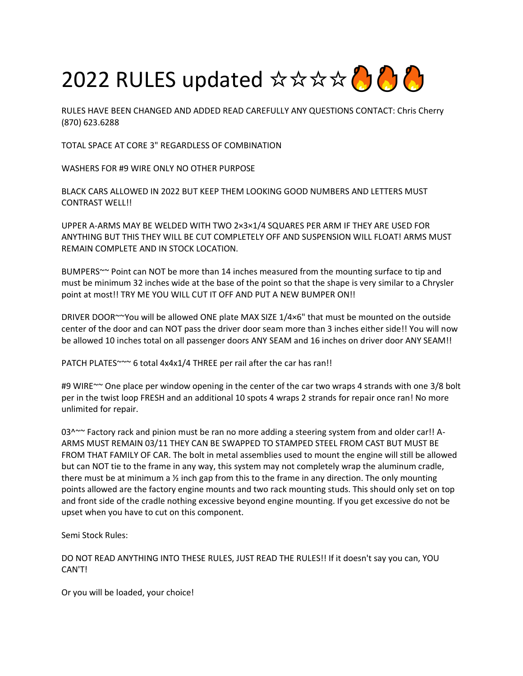

RULES HAVE BEEN CHANGED AND ADDED READ CAREFULLY ANY QUESTIONS CONTACT: Chris Cherry (870) 623.6288

TOTAL SPACE AT CORE 3" REGARDLESS OF COMBINATION

WASHERS FOR #9 WIRE ONLY NO OTHER PURPOSE

BLACK CARS ALLOWED IN 2022 BUT KEEP THEM LOOKING GOOD NUMBERS AND LETTERS MUST CONTRAST WELL!!

UPPER A-ARMS MAY BE WELDED WITH TWO 2×3×1/4 SQUARES PER ARM IF THEY ARE USED FOR ANYTHING BUT THIS THEY WILL BE CUT COMPLETELY OFF AND SUSPENSION WILL FLOAT! ARMS MUST REMAIN COMPLETE AND IN STOCK LOCATION.

BUMPERS~~ Point can NOT be more than 14 inches measured from the mounting surface to tip and must be minimum 32 inches wide at the base of the point so that the shape is very similar to a Chrysler point at most!! TRY ME YOU WILL CUT IT OFF AND PUT A NEW BUMPER ON!!

DRIVER DOOR~~You will be allowed ONE plate MAX SIZE 1/4×6" that must be mounted on the outside center of the door and can NOT pass the driver door seam more than 3 inches either side!! You will now be allowed 10 inches total on all passenger doors ANY SEAM and 16 inches on driver door ANY SEAM!!

PATCH PLATES~~~ 6 total 4x4x1/4 THREE per rail after the car has ran!!

#9 WIRE~~ One place per window opening in the center of the car two wraps 4 strands with one 3/8 bolt per in the twist loop FRESH and an additional 10 spots 4 wraps 2 strands for repair once ran! No more unlimited for repair.

 $03^{\circ}$  Factory rack and pinion must be ran no more adding a steering system from and older car!! A-ARMS MUST REMAIN 03/11 THEY CAN BE SWAPPED TO STAMPED STEEL FROM CAST BUT MUST BE FROM THAT FAMILY OF CAR. The bolt in metal assemblies used to mount the engine will still be allowed but can NOT tie to the frame in any way, this system may not completely wrap the aluminum cradle, there must be at minimum a  $\frac{1}{2}$  inch gap from this to the frame in any direction. The only mounting points allowed are the factory engine mounts and two rack mounting studs. This should only set on top and front side of the cradle nothing excessive beyond engine mounting. If you get excessive do not be upset when you have to cut on this component.

Semi Stock Rules:

DO NOT READ ANYTHING INTO THESE RULES, JUST READ THE RULES!! If it doesn't say you can, YOU CAN'T!

Or you will be loaded, your choice!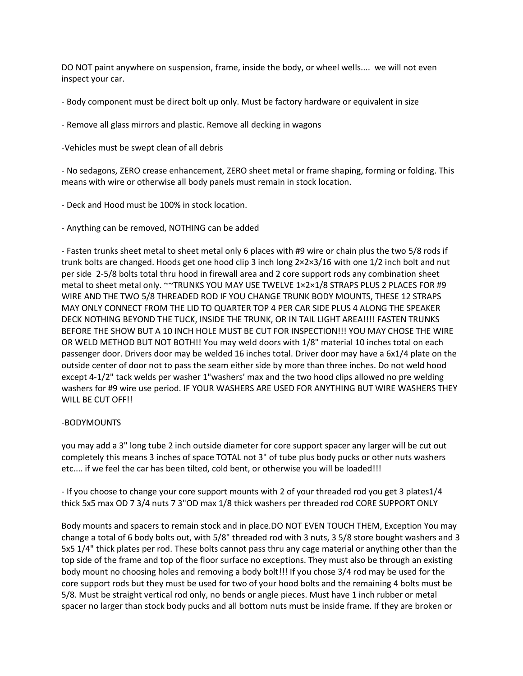DO NOT paint anywhere on suspension, frame, inside the body, or wheel wells.... we will not even inspect your car.

- Body component must be direct bolt up only. Must be factory hardware or equivalent in size

- Remove all glass mirrors and plastic. Remove all decking in wagons

-Vehicles must be swept clean of all debris

- No sedagons, ZERO crease enhancement, ZERO sheet metal or frame shaping, forming or folding. This means with wire or otherwise all body panels must remain in stock location.

- Deck and Hood must be 100% in stock location.

- Anything can be removed, NOTHING can be added

- Fasten trunks sheet metal to sheet metal only 6 places with #9 wire or chain plus the two 5/8 rods if trunk bolts are changed. Hoods get one hood clip 3 inch long 2×2×3/16 with one 1/2 inch bolt and nut per side 2-5/8 bolts total thru hood in firewall area and 2 core support rods any combination sheet metal to sheet metal only. ~~TRUNKS YOU MAY USE TWELVE 1×2×1/8 STRAPS PLUS 2 PLACES FOR #9 WIRE AND THE TWO 5/8 THREADED ROD IF YOU CHANGE TRUNK BODY MOUNTS, THESE 12 STRAPS MAY ONLY CONNECT FROM THE LID TO QUARTER TOP 4 PER CAR SIDE PLUS 4 ALONG THE SPEAKER DECK NOTHING BEYOND THE TUCK, INSIDE THE TRUNK, OR IN TAIL LIGHT AREA!!!! FASTEN TRUNKS BEFORE THE SHOW BUT A 10 INCH HOLE MUST BE CUT FOR INSPECTION!!! YOU MAY CHOSE THE WIRE OR WELD METHOD BUT NOT BOTH!! You may weld doors with 1/8" material 10 inches total on each passenger door. Drivers door may be welded 16 inches total. Driver door may have a 6x1/4 plate on the outside center of door not to pass the seam either side by more than three inches. Do not weld hood except 4-1/2" tack welds per washer 1"washers' max and the two hood clips allowed no pre welding washers for #9 wire use period. IF YOUR WASHERS ARE USED FOR ANYTHING BUT WIRE WASHERS THEY WILL BE CUT OFF!!

## -BODYMOUNTS

you may add a 3" long tube 2 inch outside diameter for core support spacer any larger will be cut out completely this means 3 inches of space TOTAL not 3" of tube plus body pucks or other nuts washers etc.... if we feel the car has been tilted, cold bent, or otherwise you will be loaded!!!

- If you choose to change your core support mounts with 2 of your threaded rod you get 3 plates1/4 thick 5x5 max OD 7 3/4 nuts 7 3"OD max 1/8 thick washers per threaded rod CORE SUPPORT ONLY

Body mounts and spacers to remain stock and in place.DO NOT EVEN TOUCH THEM, Exception You may change a total of 6 body bolts out, with 5/8" threaded rod with 3 nuts, 3 5/8 store bought washers and 3 5x5 1/4" thick plates per rod. These bolts cannot pass thru any cage material or anything other than the top side of the frame and top of the floor surface no exceptions. They must also be through an existing body mount no choosing holes and removing a body bolt!!! If you chose 3/4 rod may be used for the core support rods but they must be used for two of your hood bolts and the remaining 4 bolts must be 5/8. Must be straight vertical rod only, no bends or angle pieces. Must have 1 inch rubber or metal spacer no larger than stock body pucks and all bottom nuts must be inside frame. If they are broken or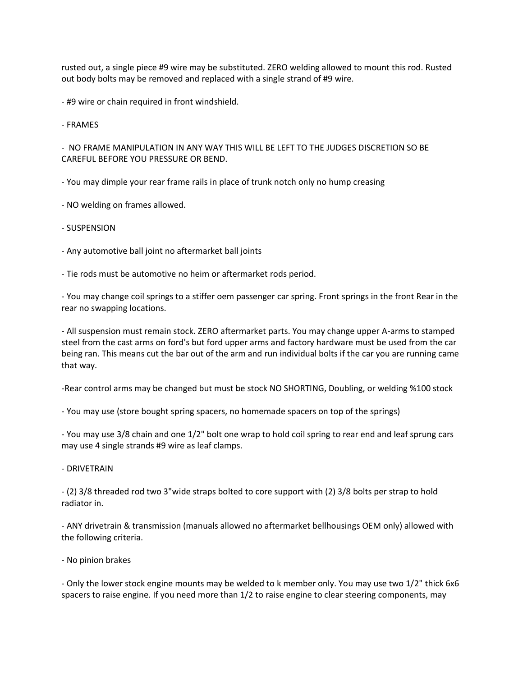rusted out, a single piece #9 wire may be substituted. ZERO welding allowed to mount this rod. Rusted out body bolts may be removed and replaced with a single strand of #9 wire.

- #9 wire or chain required in front windshield.

- FRAMES

- NO FRAME MANIPULATION IN ANY WAY THIS WILL BE LEFT TO THE JUDGES DISCRETION SO BE CAREFUL BEFORE YOU PRESSURE OR BEND.

- You may dimple your rear frame rails in place of trunk notch only no hump creasing

- NO welding on frames allowed.

- SUSPENSION
- Any automotive ball joint no aftermarket ball joints

- Tie rods must be automotive no heim or aftermarket rods period.

- You may change coil springs to a stiffer oem passenger car spring. Front springs in the front Rear in the rear no swapping locations.

- All suspension must remain stock. ZERO aftermarket parts. You may change upper A-arms to stamped steel from the cast arms on ford's but ford upper arms and factory hardware must be used from the car being ran. This means cut the bar out of the arm and run individual bolts if the car you are running came that way.

-Rear control arms may be changed but must be stock NO SHORTING, Doubling, or welding %100 stock

- You may use (store bought spring spacers, no homemade spacers on top of the springs)

- You may use 3/8 chain and one 1/2" bolt one wrap to hold coil spring to rear end and leaf sprung cars may use 4 single strands #9 wire as leaf clamps.

- DRIVETRAIN

- (2) 3/8 threaded rod two 3"wide straps bolted to core support with (2) 3/8 bolts per strap to hold radiator in.

- ANY drivetrain & transmission (manuals allowed no aftermarket bellhousings OEM only) allowed with the following criteria.

- No pinion brakes

- Only the lower stock engine mounts may be welded to k member only. You may use two 1/2" thick 6x6 spacers to raise engine. If you need more than 1/2 to raise engine to clear steering components, may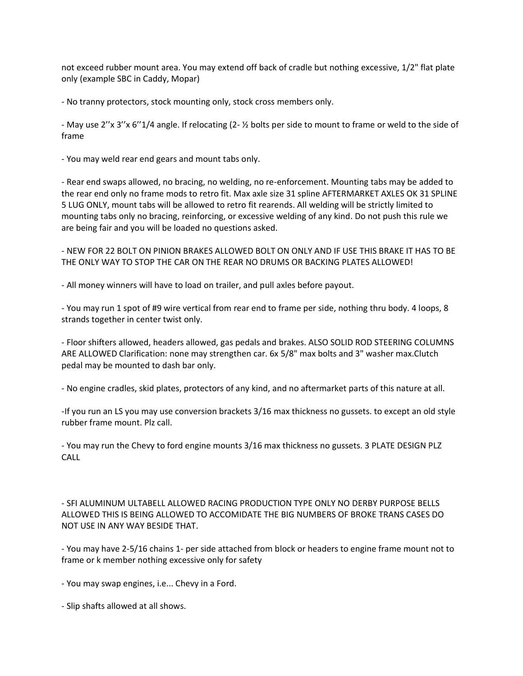not exceed rubber mount area. You may extend off back of cradle but nothing excessive, 1/2" flat plate only (example SBC in Caddy, Mopar)

- No tranny protectors, stock mounting only, stock cross members only.

- May use 2''x 3''x 6''1/4 angle. If relocating (2- ½ bolts per side to mount to frame or weld to the side of frame

- You may weld rear end gears and mount tabs only.

- Rear end swaps allowed, no bracing, no welding, no re-enforcement. Mounting tabs may be added to the rear end only no frame mods to retro fit. Max axle size 31 spline AFTERMARKET AXLES OK 31 SPLINE 5 LUG ONLY, mount tabs will be allowed to retro fit rearends. All welding will be strictly limited to mounting tabs only no bracing, reinforcing, or excessive welding of any kind. Do not push this rule we are being fair and you will be loaded no questions asked.

- NEW FOR 22 BOLT ON PINION BRAKES ALLOWED BOLT ON ONLY AND IF USE THIS BRAKE IT HAS TO BE THE ONLY WAY TO STOP THE CAR ON THE REAR NO DRUMS OR BACKING PLATES ALLOWED!

- All money winners will have to load on trailer, and pull axles before payout.

- You may run 1 spot of #9 wire vertical from rear end to frame per side, nothing thru body. 4 loops, 8 strands together in center twist only.

- Floor shifters allowed, headers allowed, gas pedals and brakes. ALSO SOLID ROD STEERING COLUMNS ARE ALLOWED Clarification: none may strengthen car. 6x 5/8" max bolts and 3" washer max.Clutch pedal may be mounted to dash bar only.

- No engine cradles, skid plates, protectors of any kind, and no aftermarket parts of this nature at all.

-If you run an LS you may use conversion brackets 3/16 max thickness no gussets. to except an old style rubber frame mount. Plz call.

- You may run the Chevy to ford engine mounts 3/16 max thickness no gussets. 3 PLATE DESIGN PLZ CALL

- SFI ALUMINUM ULTABELL ALLOWED RACING PRODUCTION TYPE ONLY NO DERBY PURPOSE BELLS ALLOWED THIS IS BEING ALLOWED TO ACCOMIDATE THE BIG NUMBERS OF BROKE TRANS CASES DO NOT USE IN ANY WAY BESIDE THAT.

- You may have 2-5/16 chains 1- per side attached from block or headers to engine frame mount not to frame or k member nothing excessive only for safety

- You may swap engines, i.e... Chevy in a Ford.

- Slip shafts allowed at all shows.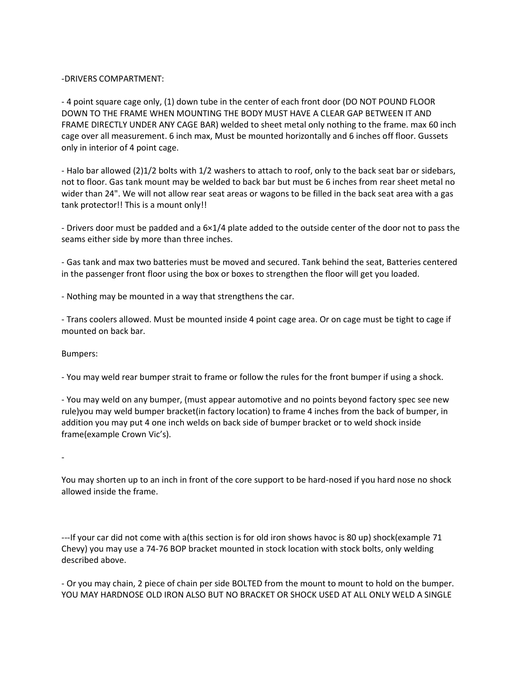## -DRIVERS COMPARTMENT:

- 4 point square cage only, (1) down tube in the center of each front door (DO NOT POUND FLOOR DOWN TO THE FRAME WHEN MOUNTING THE BODY MUST HAVE A CLEAR GAP BETWEEN IT AND FRAME DIRECTLY UNDER ANY CAGE BAR) welded to sheet metal only nothing to the frame. max 60 inch cage over all measurement. 6 inch max, Must be mounted horizontally and 6 inches off floor. Gussets only in interior of 4 point cage.

- Halo bar allowed (2)1/2 bolts with 1/2 washers to attach to roof, only to the back seat bar or sidebars, not to floor. Gas tank mount may be welded to back bar but must be 6 inches from rear sheet metal no wider than 24". We will not allow rear seat areas or wagons to be filled in the back seat area with a gas tank protector!! This is a mount only!!

- Drivers door must be padded and a 6×1/4 plate added to the outside center of the door not to pass the seams either side by more than three inches.

- Gas tank and max two batteries must be moved and secured. Tank behind the seat, Batteries centered in the passenger front floor using the box or boxes to strengthen the floor will get you loaded.

- Nothing may be mounted in a way that strengthens the car.

- Trans coolers allowed. Must be mounted inside 4 point cage area. Or on cage must be tight to cage if mounted on back bar.

Bumpers:

- You may weld rear bumper strait to frame or follow the rules for the front bumper if using a shock.

- You may weld on any bumper, (must appear automotive and no points beyond factory spec see new rule)you may weld bumper bracket(in factory location) to frame 4 inches from the back of bumper, in addition you may put 4 one inch welds on back side of bumper bracket or to weld shock inside frame(example Crown Vic's).

-

You may shorten up to an inch in front of the core support to be hard-nosed if you hard nose no shock allowed inside the frame.

---If your car did not come with a(this section is for old iron shows havoc is 80 up) shock(example 71 Chevy) you may use a 74-76 BOP bracket mounted in stock location with stock bolts, only welding described above.

- Or you may chain, 2 piece of chain per side BOLTED from the mount to mount to hold on the bumper. YOU MAY HARDNOSE OLD IRON ALSO BUT NO BRACKET OR SHOCK USED AT ALL ONLY WELD A SINGLE